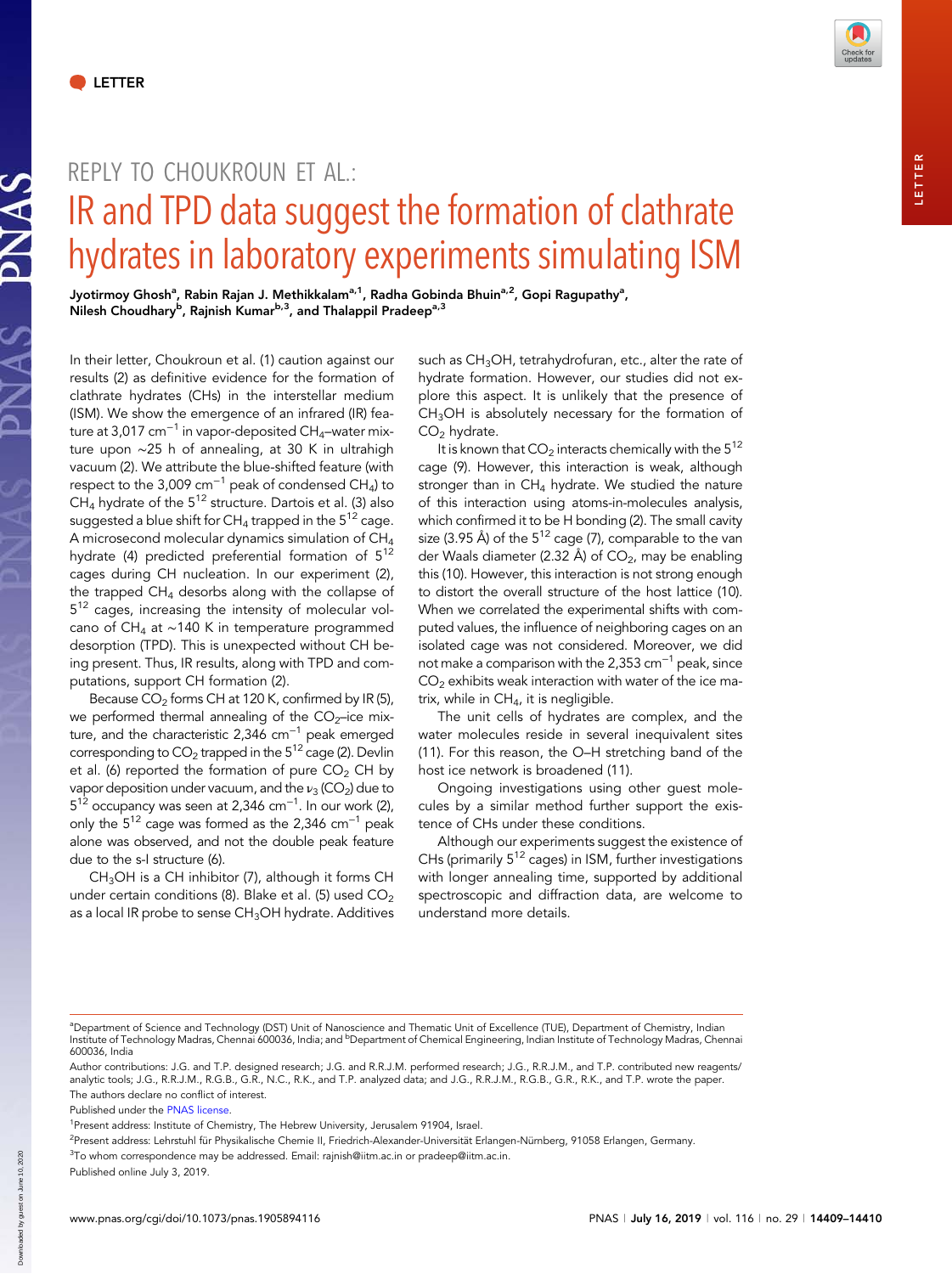**SVNAS** 

DNAC



LETTER

**ETTER** 

## REPLY TO CHOUKROUN ET AL.: IR and TPD data suggest the formation of clathrate hydrates in laboratory experiments simulating ISM

Jyotirmoy Ghosh<sup>a</sup>, Rabin Rajan J. Methikkalam<sup>a,1</sup>, Radha Gobinda Bhuin<sup>a,2</sup>, Gopi Ragupathy<sup>a</sup>, Nilesh Choudhary<sup>b</sup>, Rajnish Kumar<sup>b,3</sup>, and Thalappil Pradeep<sup>a,3</sup>

In their letter, Choukroun et al. (1) caution against our results (2) as definitive evidence for the formation of clathrate hydrates (CHs) in the interstellar medium (ISM). We show the emergence of an infrared (IR) feature at 3,017 cm<sup>-1</sup> in vapor-deposited CH<sub>4</sub>–water mixture upon ∼25 h of annealing, at 30 K in ultrahigh vacuum (2). We attribute the blue-shifted feature (with respect to the 3,009  $cm^{-1}$  peak of condensed CH<sub>4</sub>) to CH<sub>4</sub> hydrate of the  $5^{12}$  structure. Dartois et al. (3) also suggested a blue shift for CH<sub>4</sub> trapped in the  $5^{12}$  cage. A microsecond molecular dynamics simulation of CH4 hydrate (4) predicted preferential formation of  $5^{12}$ cages during CH nucleation. In our experiment (2), the trapped  $CH_4$  desorbs along with the collapse of 5<sup>12</sup> cages, increasing the intensity of molecular volcano of CH4 at ∼140 K in temperature programmed desorption (TPD). This is unexpected without CH being present. Thus, IR results, along with TPD and computations, support CH formation (2).

Because CO<sub>2</sub> forms CH at 120 K, confirmed by IR (5), we performed thermal annealing of the  $CO<sub>2</sub>$ –ice mixture, and the characteristic 2,346  $cm^{-1}$  peak emerged corresponding to  $CO<sub>2</sub>$  trapped in the  $5^{12}$  cage (2). Devlin et al. (6) reported the formation of pure  $CO<sub>2</sub>$  CH by vapor deposition under vacuum, and the  $v_3$  (CO<sub>2</sub>) due to  $5^{12}$  occupancy was seen at 2,346 cm $^{-1}$ . In our work (2), only the  $5^{12}$  cage was formed as the 2,346 cm<sup>-1</sup> peak alone was observed, and not the double peak feature due to the s-I structure (6).

 $CH<sub>3</sub>OH$  is a CH inhibitor (7), although it forms CH under certain conditions (8). Blake et al. (5) used  $CO<sub>2</sub>$ as a local IR probe to sense CH<sub>3</sub>OH hydrate. Additives

such as  $CH<sub>3</sub>OH$ , tetrahydrofuran, etc., alter the rate of hydrate formation. However, our studies did not explore this aspect. It is unlikely that the presence of CH<sub>3</sub>OH is absolutely necessary for the formation of  $CO<sub>2</sub>$  hydrate.

It is known that  $CO<sub>2</sub>$  interacts chemically with the  $5^{12}$ cage (9). However, this interaction is weak, although stronger than in  $CH_4$  hydrate. We studied the nature of this interaction using atoms-in-molecules analysis, which confirmed it to be H bonding (2). The small cavity size (3.95 Å) of the  $5^{12}$  cage (7), comparable to the van der Waals diameter (2.32 Å) of  $CO<sub>2</sub>$ , may be enabling this (10). However, this interaction is not strong enough to distort the overall structure of the host lattice (10). When we correlated the experimental shifts with computed values, the influence of neighboring cages on an isolated cage was not considered. Moreover, we did not make a comparison with the 2,353 cm<sup>-1</sup> peak, since  $CO<sub>2</sub>$  exhibits weak interaction with water of the ice matrix, while in CH<sub>4</sub>, it is negligible.

The unit cells of hydrates are complex, and the water molecules reside in several inequivalent sites (11). For this reason, the O–H stretching band of the host ice network is broadened (11).

Ongoing investigations using other guest molecules by a similar method further support the existence of CHs under these conditions.

Although our experiments suggest the existence of CHs (primarily  $5^{12}$  cages) in ISM, further investigations with longer annealing time, supported by additional spectroscopic and diffraction data, are welcome to understand more details.

a Department of Science and Technology (DST) Unit of Nanoscience and Thematic Unit of Excellence (TUE), Department of Chemistry, Indian Institute of Technology Madras, Chennai 600036, India; and <sup>b</sup>Department of Chemical Engineering, Indian Institute of Technology Madras, Chennai 600036, India

Author contributions: J.G. and T.P. designed research; J.G. and R.R.J.M. performed research; J.G., R.R.J.M., and T.P. contributed new reagents/ analytic tools; J.G., R.R.J.M., R.G.B., G.R., N.C., R.K., and T.P. analyzed data; and J.G., R.R.J.M., R.G.B., G.R., R.K., and T.P. wrote the paper. The authors declare no conflict of interest.

Published under the [PNAS license.](https://www.pnas.org/site/aboutpnas/licenses.xhtml)

<sup>&</sup>lt;sup>1</sup>Present address: Institute of Chemistry, The Hebrew University, Jerusalem 91904, Israel.

<sup>&</sup>lt;sup>2</sup>Present address: Lehrstuhl für Physikalische Chemie II, Friedrich-Alexander-Universität Erlangen-Nürnberg, 91058 Erlangen, Germany.

<sup>&</sup>lt;sup>3</sup>To whom correspondence may be addressed. Email: [rajnish@iitm.ac.in](mailto:rajnish@iitm.ac.in) or [pradeep@iitm.ac.in](mailto:pradeep@iitm.ac.in).

Published online July 3, 2019.